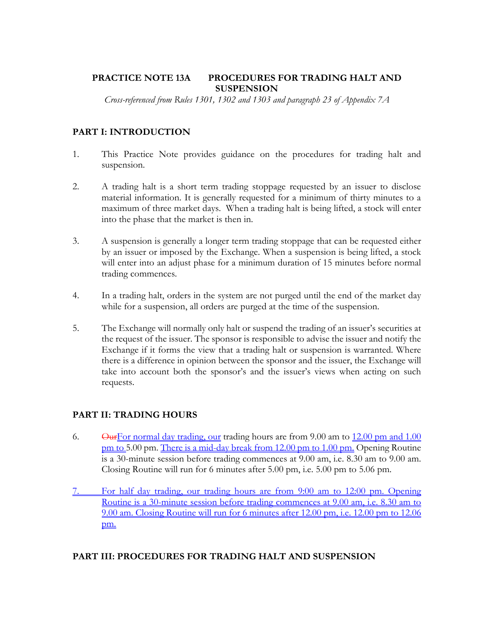# **PRACTICE NOTE 13A PROCEDURES FOR TRADING HALT AND SUSPENSION**

*Cross-referenced from Rules 1301, 1302 and 1303 and paragraph 23 of Appendix 7A* 

## **PART I: INTRODUCTION**

- 1. This Practice Note provides guidance on the procedures for trading halt and suspension.
- 2. A trading halt is a short term trading stoppage requested by an issuer to disclose material information. It is generally requested for a minimum of thirty minutes to a maximum of three market days. When a trading halt is being lifted, a stock will enter into the phase that the market is then in.
- 3. A suspension is generally a longer term trading stoppage that can be requested either by an issuer or imposed by the Exchange. When a suspension is being lifted, a stock will enter into an adjust phase for a minimum duration of 15 minutes before normal trading commences.
- 4. In a trading halt, orders in the system are not purged until the end of the market day while for a suspension, all orders are purged at the time of the suspension.
- 5. The Exchange will normally only halt or suspend the trading of an issuer's securities at the request of the issuer. The sponsor is responsible to advise the issuer and notify the Exchange if it forms the view that a trading halt or suspension is warranted. Where there is a difference in opinion between the sponsor and the issuer, the Exchange will take into account both the sponsor's and the issuer's views when acting on such requests.

# **PART II: TRADING HOURS**

- 6. OurFor normal day trading, our trading hours are from 9.00 am to  $12.00$  pm and 1.00 pm to 5.00 pm. There is a mid-day break from 12.00 pm to 1.00 pm. Opening Routine is a 30-minute session before trading commences at 9.00 am, i.e. 8.30 am to 9.00 am. Closing Routine will run for 6 minutes after 5.00 pm, i.e. 5.00 pm to 5.06 pm.
- 7. For half day trading, our trading hours are from 9:00 am to 12:00 pm. Opening Routine is a 30-minute session before trading commences at 9.00 am, i.e. 8.30 am to 9.00 am. Closing Routine will run for 6 minutes after 12.00 pm, i.e. 12.00 pm to 12.06 pm.

### **PART III: PROCEDURES FOR TRADING HALT AND SUSPENSION**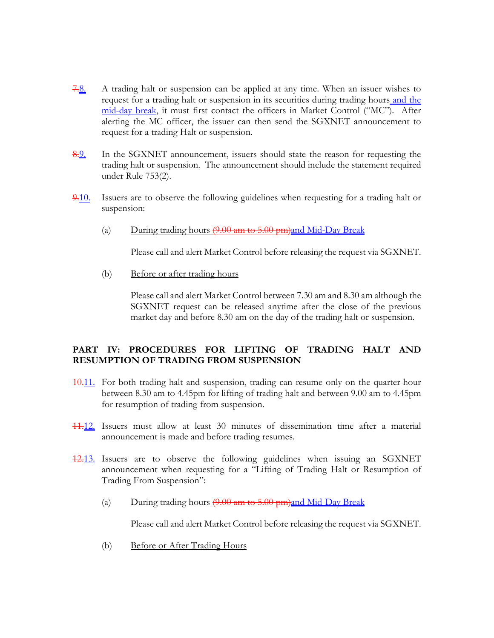- 7.8. A trading halt or suspension can be applied at any time. When an issuer wishes to request for a trading halt or suspension in its securities during trading hours and the mid-day break, it must first contact the officers in Market Control ("MC"). After alerting the MC officer, the issuer can then send the SGXNET announcement to request for a trading Halt or suspension.
- 8.9. In the SGXNET announcement, issuers should state the reason for requesting the trading halt or suspension. The announcement should include the statement required under Rule 753(2).
- 9.10. Issuers are to observe the following guidelines when requesting for a trading halt or suspension:
	- (a) During trading hours  $(9.00 \text{ am to } 5.00 \text{ pm})$  and Mid-Day Break

Please call and alert Market Control before releasing the request via SGXNET.

(b) Before or after trading hours

Please call and alert Market Control between 7.30 am and 8.30 am although the SGXNET request can be released anytime after the close of the previous market day and before 8.30 am on the day of the trading halt or suspension.

### **PART IV: PROCEDURES FOR LIFTING OF TRADING HALT AND RESUMPTION OF TRADING FROM SUSPENSION**

- 10.11. For both trading halt and suspension, trading can resume only on the quarter-hour between 8.30 am to 4.45pm for lifting of trading halt and between 9.00 am to 4.45pm for resumption of trading from suspension.
- 11.12. Issuers must allow at least 30 minutes of dissemination time after a material announcement is made and before trading resumes.
- 12.13. Issuers are to observe the following guidelines when issuing an SGXNET announcement when requesting for a "Lifting of Trading Halt or Resumption of Trading From Suspension":
	- (a) During trading hours  $(9.00 \text{ am to } 5.00 \text{ pm})$  and Mid-Day Break

Please call and alert Market Control before releasing the request via SGXNET.

(b) Before or After Trading Hours